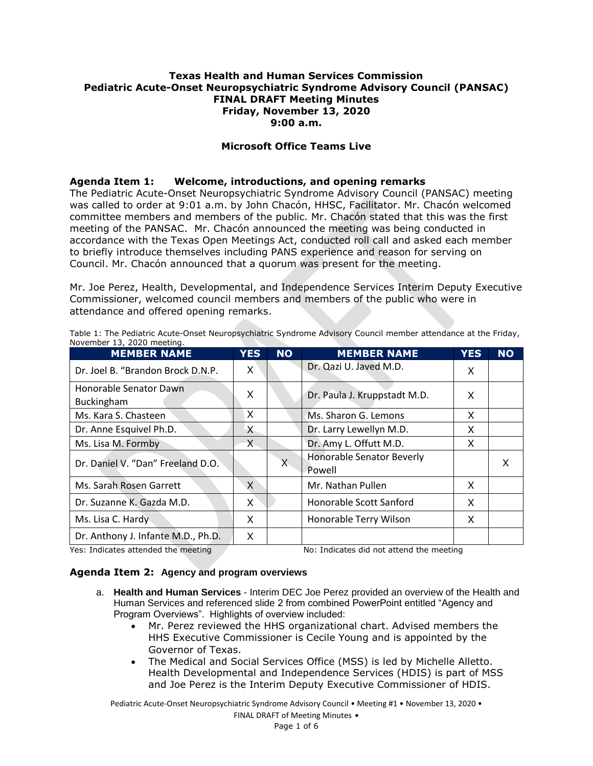#### **Texas Health and Human Services Commission Pediatric Acute-Onset Neuropsychiatric Syndrome Advisory Council (PANSAC) FINAL DRAFT Meeting Minutes Friday, November 13, 2020 9:00 a.m.**

#### **Microsoft Office Teams Live**

#### **Agenda Item 1: Welcome, introductions, and opening remarks**

The Pediatric Acute-Onset Neuropsychiatric Syndrome Advisory Council (PANSAC) meeting was called to order at 9:01 a.m. by John Chacón, HHSC, Facilitator. Mr. Chacón welcomed committee members and members of the public. Mr. Chacón stated that this was the first meeting of the PANSAC. Mr. Chacón announced the meeting was being conducted in accordance with the Texas Open Meetings Act, conducted roll call and asked each member to briefly introduce themselves including PANS experience and reason for serving on Council. Mr. Chacón announced that a quorum was present for the meeting.

Mr. Joe Perez, Health, Developmental, and Independence Services Interim Deputy Executive Commissioner, welcomed council members and members of the public who were in attendance and offered opening remarks.

| <b>MEMBER NAME</b>                   | <b>YES</b> | <b>NO</b> | <b>MEMBER NAME</b>                         | <b>YES</b> | <b>NO</b> |
|--------------------------------------|------------|-----------|--------------------------------------------|------------|-----------|
| Dr. Joel B. "Brandon Brock D.N.P.    | X          |           | Dr. Qazi U. Javed M.D.                     | X          |           |
| Honorable Senator Dawn<br>Buckingham | X          |           | Dr. Paula J. Kruppstadt M.D.               | X          |           |
| Ms. Kara S. Chasteen                 | X          |           | Ms. Sharon G. Lemons                       | X          |           |
| Dr. Anne Esquivel Ph.D.              | $\times$   |           | Dr. Larry Lewellyn M.D.                    | X          |           |
| Ms. Lisa M. Formby                   | $X -$      |           | Dr. Amy L. Offutt M.D.                     | X          |           |
| Dr. Daniel V. "Dan" Freeland D.O.    |            | X         | <b>Honorable Senator Beverly</b><br>Powell |            | X         |
| Ms. Sarah Rosen Garrett              | X          |           | Mr. Nathan Pullen                          | X          |           |
| Dr. Suzanne K. Gazda M.D.            | X          |           | Honorable Scott Sanford                    | X          |           |
| Ms. Lisa C. Hardy                    | X          |           | Honorable Terry Wilson                     | X          |           |
| Dr. Anthony J. Infante M.D., Ph.D.   | X.         |           |                                            |            |           |

Table 1: The Pediatric Acute-Onset Neuropsychiatric Syndrome Advisory Council member attendance at the Friday, November 13, 2020 meeting.

Yes: Indicates attended the meeting No: Indicates did not attend the meeting

#### **Agenda Item 2: Agency and program overviews**

- a. **Health and Human Services** Interim DEC Joe Perez provided an overview of the Health and Human Services and referenced slide 2 from combined PowerPoint entitled "Agency and Program Overviews". Highlights of overview included:
	- Mr. Perez reviewed the HHS organizational chart. Advised members the HHS Executive Commissioner is Cecile Young and is appointed by the Governor of Texas.
	- The Medical and Social Services Office (MSS) is led by Michelle Alletto. Health Developmental and Independence Services (HDIS) is part of MSS and Joe Perez is the Interim Deputy Executive Commissioner of HDIS.

Pediatric Acute-Onset Neuropsychiatric Syndrome Advisory Council • Meeting #1 • November 13, 2020 • FINAL DRAFT of Meeting Minutes •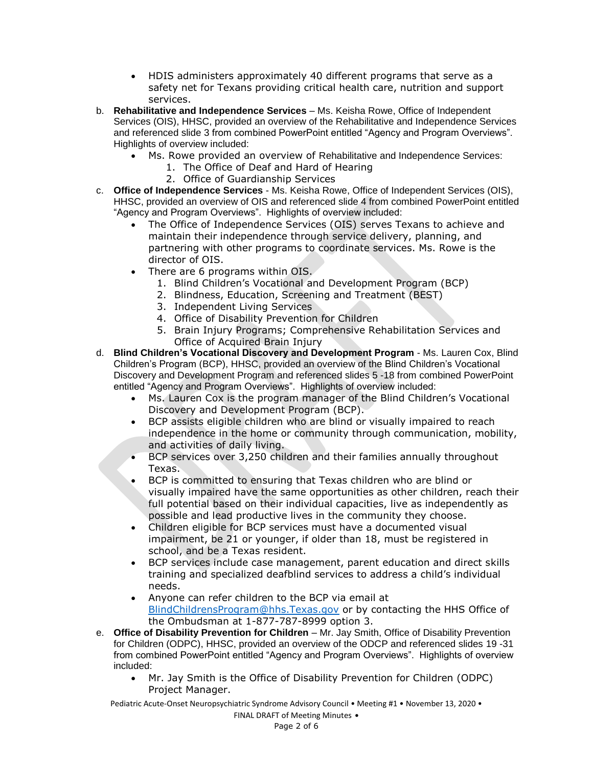- HDIS administers approximately 40 different programs that serve as a safety net for Texans providing critical health care, nutrition and support services.
- b. **Rehabilitative and Independence Services** Ms. Keisha Rowe, Office of Independent Services (OIS), HHSC, provided an overview of the Rehabilitative and Independence Services and referenced slide 3 from combined PowerPoint entitled "Agency and Program Overviews". Highlights of overview included:
	- Ms. Rowe provided an overview of Rehabilitative and Independence Services:
		- 1. The Office of Deaf and Hard of Hearing
		- 2. Office of Guardianship Services
- c. **Office of Independence Services** Ms. Keisha Rowe, Office of Independent Services (OIS), HHSC, provided an overview of OIS and referenced slide 4 from combined PowerPoint entitled "Agency and Program Overviews". Highlights of overview included:
	- The Office of Independence Services (OIS) serves Texans to achieve and maintain their independence through service delivery, planning, and partnering with other programs to coordinate services. Ms. Rowe is the director of OIS.
	- There are 6 programs within OIS.
		- 1. Blind Children's Vocational and Development Program (BCP)
		- 2. Blindness, Education, Screening and Treatment (BEST)
		- 3. Independent Living Services
		- 4. Office of Disability Prevention for Children
		- 5. Brain Injury Programs; Comprehensive Rehabilitation Services and Office of Acquired Brain Injury
- d. **Blind Children's Vocational Discovery and Development Program** Ms. Lauren Cox, Blind Children's Program (BCP), HHSC, provided an overview of the Blind Children's Vocational Discovery and Development Program and referenced slides 5 -18 from combined PowerPoint entitled "Agency and Program Overviews". Highlights of overview included:
	- Ms. Lauren Cox is the program manager of the Blind Children's Vocational Discovery and Development Program (BCP).
	- BCP assists eligible children who are blind or visually impaired to reach independence in the home or community through communication, mobility, and activities of daily living.
	- BCP services over 3,250 children and their families annually throughout Texas.
	- BCP is committed to ensuring that Texas children who are blind or visually impaired have the same opportunities as other children, reach their full potential based on their individual capacities, live as independently as possible and lead productive lives in the community they choose.
	- Children eligible for BCP services must have a documented visual impairment, be 21 or younger, if older than 18, must be registered in school, and be a Texas resident.
	- BCP services include case management, parent education and direct skills training and specialized deafblind services to address a child's individual needs.
	- Anyone can refer children to the BCP via email at [BlindChildrensProgram@hhs.Texas.gov](mailto:BlindChildrensProgram@hhs.Texas.gov) or by contacting the HHS Office of the Ombudsman at 1-877-787-8999 option 3.
- e. **Office of Disability Prevention for Children** Mr. Jay Smith, Office of Disability Prevention for Children (ODPC), HHSC, provided an overview of the ODCP and referenced slides 19 -31 from combined PowerPoint entitled "Agency and Program Overviews". Highlights of overview included:
	- Mr. Jay Smith is the Office of Disability Prevention for Children (ODPC) Project Manager.

Pediatric Acute-Onset Neuropsychiatric Syndrome Advisory Council • Meeting #1 • November 13, 2020 •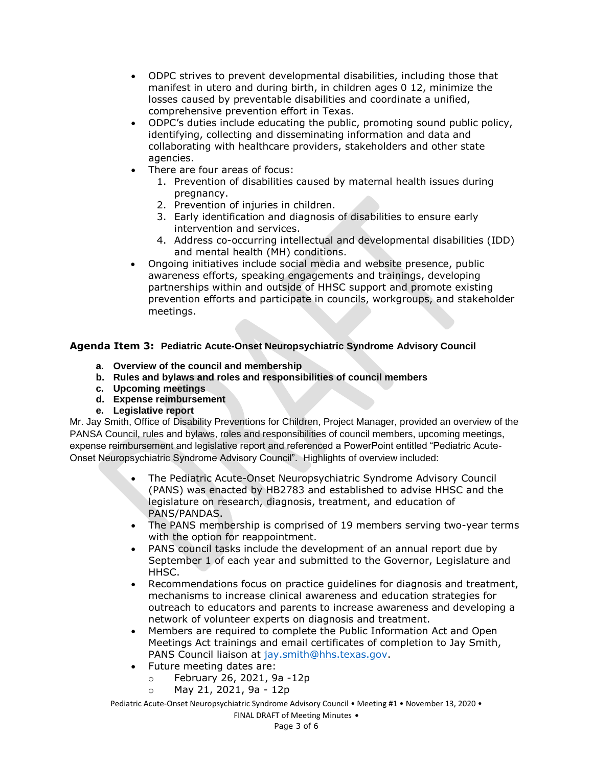- ODPC strives to prevent developmental disabilities, including those that manifest in utero and during birth, in children ages 0 12, minimize the losses caused by preventable disabilities and coordinate a unified, comprehensive prevention effort in Texas.
- ODPC's duties include educating the public, promoting sound public policy, identifying, collecting and disseminating information and data and collaborating with healthcare providers, stakeholders and other state agencies.
- There are four areas of focus:
	- 1. Prevention of disabilities caused by maternal health issues during pregnancy.
	- 2. Prevention of injuries in children.
	- 3. Early identification and diagnosis of disabilities to ensure early intervention and services.
	- 4. Address co-occurring intellectual and developmental disabilities (IDD) and mental health (MH) conditions.
- Ongoing initiatives include social media and website presence, public awareness efforts, speaking engagements and trainings, developing partnerships within and outside of HHSC support and promote existing prevention efforts and participate in councils, workgroups, and stakeholder meetings.

# **Agenda Item 3: Pediatric Acute-Onset Neuropsychiatric Syndrome Advisory Council**

- **a. Overview of the council and membership**
- **b. Rules and bylaws and roles and responsibilities of council members**
- **c. Upcoming meetings**
- **d. Expense reimbursement**
- **e. Legislative report**

Mr. Jay Smith, Office of Disability Preventions for Children, Project Manager, provided an overview of the PANSA Council, rules and bylaws, roles and responsibilities of council members, upcoming meetings, expense reimbursement and legislative report and referenced a PowerPoint entitled "Pediatric Acute-Onset Neuropsychiatric Syndrome Advisory Council". Highlights of overview included:

- The Pediatric Acute-Onset Neuropsychiatric Syndrome Advisory Council (PANS) was enacted by HB2783 and established to advise HHSC and the legislature on research, diagnosis, treatment, and education of PANS/PANDAS.
- The PANS membership is comprised of 19 members serving two-year terms with the option for reappointment.
- PANS council tasks include the development of an annual report due by September 1 of each year and submitted to the Governor, Legislature and HHSC.
- Recommendations focus on practice guidelines for diagnosis and treatment, mechanisms to increase clinical awareness and education strategies for outreach to educators and parents to increase awareness and developing a network of volunteer experts on diagnosis and treatment.
- Members are required to complete the Public Information Act and Open Meetings Act trainings and email certificates of completion to Jay Smith, PANS Council liaison at [jay.smith@hhs.texas.gov.](mailto:jay.smith@hhs.texas.gov)
- Future meeting dates are:
	- o February 26, 2021, 9a -12p
	- o May 21, 2021, 9a 12p

Pediatric Acute-Onset Neuropsychiatric Syndrome Advisory Council • Meeting #1 • November 13, 2020 •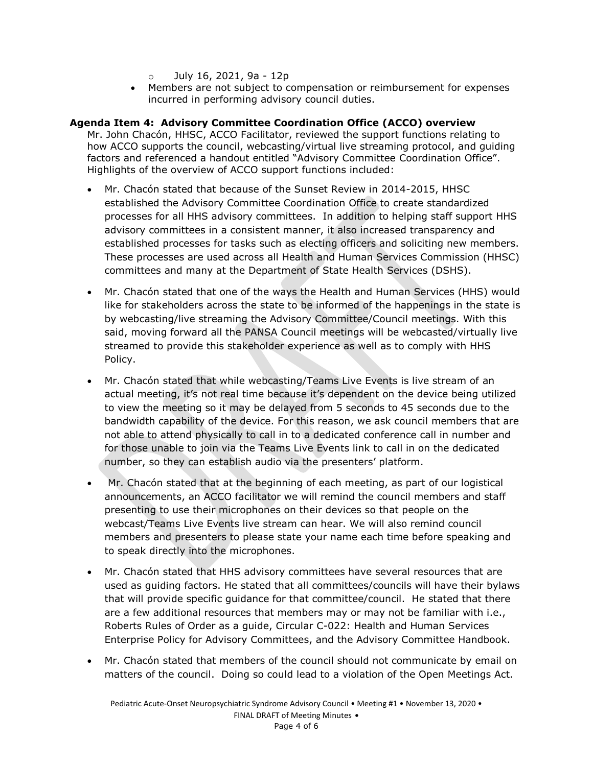- $\circ$  July 16, 2021, 9a 12p
- Members are not subject to compensation or reimbursement for expenses incurred in performing advisory council duties.

# **Agenda Item 4: Advisory Committee Coordination Office (ACCO) overview**

Mr. John Chacón, HHSC, ACCO Facilitator, reviewed the support functions relating to how ACCO supports the council, webcasting/virtual live streaming protocol, and guiding factors and referenced a handout entitled "Advisory Committee Coordination Office". Highlights of the overview of ACCO support functions included:

- Mr. Chacón stated that because of the Sunset Review in 2014-2015, HHSC established the Advisory Committee Coordination Office to create standardized processes for all HHS advisory committees. In addition to helping staff support HHS advisory committees in a consistent manner, it also increased transparency and established processes for tasks such as electing officers and soliciting new members. These processes are used across all Health and Human Services Commission (HHSC) committees and many at the Department of State Health Services (DSHS).
- Mr. Chacón stated that one of the ways the Health and Human Services (HHS) would like for stakeholders across the state to be informed of the happenings in the state is by webcasting/live streaming the Advisory Committee/Council meetings. With this said, moving forward all the PANSA Council meetings will be webcasted/virtually live streamed to provide this stakeholder experience as well as to comply with HHS Policy.
- Mr. Chacón stated that while webcasting/Teams Live Events is live stream of an actual meeting, it's not real time because it's dependent on the device being utilized to view the meeting so it may be delayed from 5 seconds to 45 seconds due to the bandwidth capability of the device. For this reason, we ask council members that are not able to attend physically to call in to a dedicated conference call in number and for those unable to join via the Teams Live Events link to call in on the dedicated number, so they can establish audio via the presenters' platform.
- Mr. Chacón stated that at the beginning of each meeting, as part of our logistical announcements, an ACCO facilitator we will remind the council members and staff presenting to use their microphones on their devices so that people on the webcast/Teams Live Events live stream can hear. We will also remind council members and presenters to please state your name each time before speaking and to speak directly into the microphones.
- Mr. Chacón stated that HHS advisory committees have several resources that are used as guiding factors. He stated that all committees/councils will have their bylaws that will provide specific guidance for that committee/council. He stated that there are a few additional resources that members may or may not be familiar with i.e., Roberts Rules of Order as a guide, Circular C-022: Health and Human Services Enterprise Policy for Advisory Committees, and the Advisory Committee Handbook.
- Mr. Chacón stated that members of the council should not communicate by email on matters of the council. Doing so could lead to a violation of the Open Meetings Act.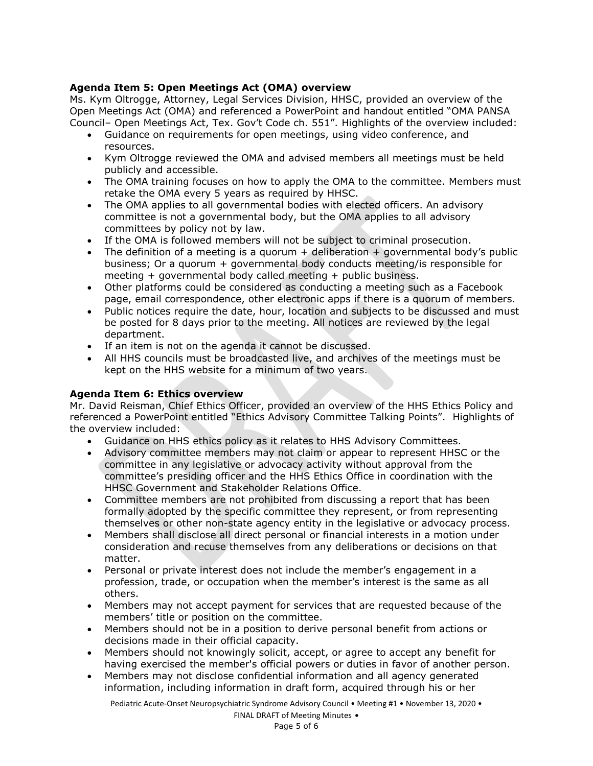# **Agenda Item 5: Open Meetings Act (OMA) overview**

Ms. Kym Oltrogge, Attorney, Legal Services Division, HHSC, provided an overview of the Open Meetings Act (OMA) and referenced a PowerPoint and handout entitled "OMA PANSA Council– Open Meetings Act, Tex. Gov't Code ch. 551". Highlights of the overview included:

- Guidance on requirements for open meetings, using video conference, and resources.
- Kym Oltrogge reviewed the OMA and advised members all meetings must be held publicly and accessible.
- The OMA training focuses on how to apply the OMA to the committee. Members must retake the OMA every 5 years as required by HHSC.
- The OMA applies to all governmental bodies with elected officers. An advisory committee is not a governmental body, but the OMA applies to all advisory committees by policy not by law.
- If the OMA is followed members will not be subject to criminal prosecution.
- The definition of a meeting is a quorum + deliberation + governmental body's public business; Or a quorum + governmental body conducts meeting/is responsible for meeting + governmental body called meeting + public business.
- Other platforms could be considered as conducting a meeting such as a Facebook page, email correspondence, other electronic apps if there is a quorum of members.
- Public notices require the date, hour, location and subjects to be discussed and must be posted for 8 days prior to the meeting. All notices are reviewed by the legal department.
- If an item is not on the agenda it cannot be discussed.
- All HHS councils must be broadcasted live, and archives of the meetings must be kept on the HHS website for a minimum of two years.

# **Agenda Item 6: Ethics overview**

Mr. David Reisman, Chief Ethics Officer, provided an overview of the HHS Ethics Policy and referenced a PowerPoint entitled "Ethics Advisory Committee Talking Points". Highlights of the overview included:

- Guidance on HHS ethics policy as it relates to HHS Advisory Committees.
- Advisory committee members may not claim or appear to represent HHSC or the committee in any legislative or advocacy activity without approval from the committee's presiding officer and the HHS Ethics Office in coordination with the HHSC Government and Stakeholder Relations Office.
- Committee members are not prohibited from discussing a report that has been formally adopted by the specific committee they represent, or from representing themselves or other non-state agency entity in the legislative or advocacy process.
- Members shall disclose all direct personal or financial interests in a motion under consideration and recuse themselves from any deliberations or decisions on that matter.
- Personal or private interest does not include the member's engagement in a profession, trade, or occupation when the member's interest is the same as all others.
- Members may not accept payment for services that are requested because of the members' title or position on the committee.
- Members should not be in a position to derive personal benefit from actions or decisions made in their official capacity.
- Members should not knowingly solicit, accept, or agree to accept any benefit for having exercised the member's official powers or duties in favor of another person.
- Members may not disclose confidential information and all agency generated information, including information in draft form, acquired through his or her

Pediatric Acute-Onset Neuropsychiatric Syndrome Advisory Council • Meeting #1 • November 13, 2020 •